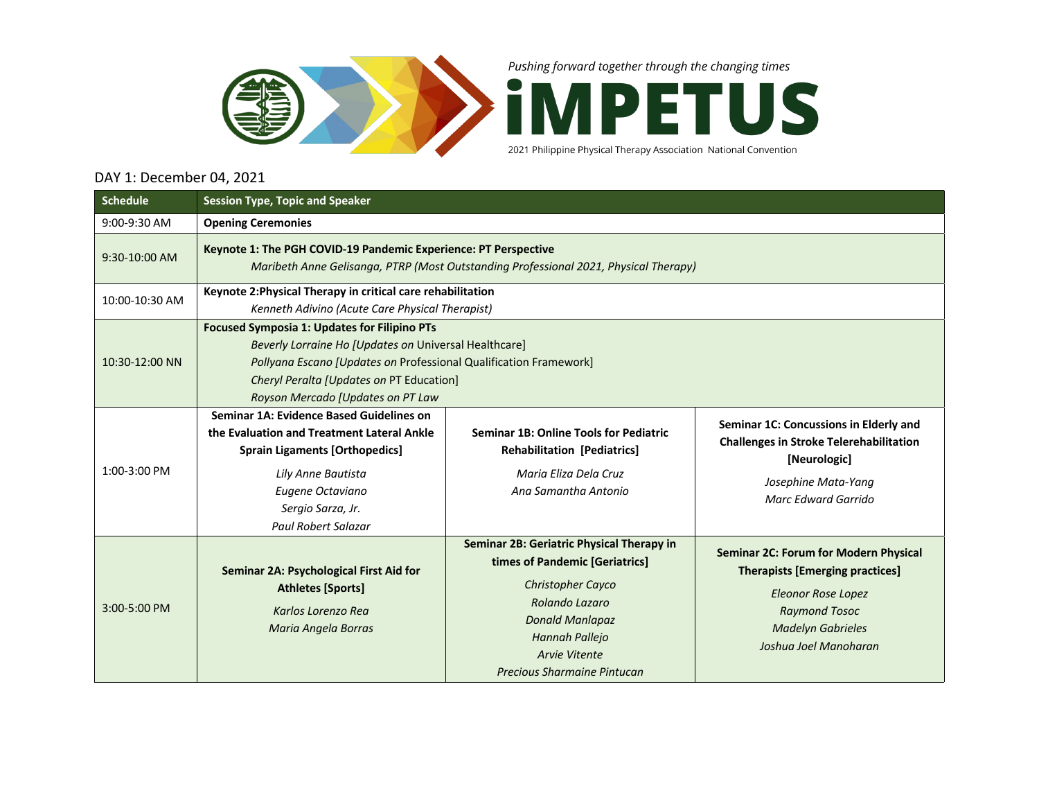

Pushing forward together through the changing times



2021 Philippine Physical Therapy Association National Convention

## DAY 1: December 04, 2021

| <b>Schedule</b> | <b>Session Type, Topic and Speaker</b>                                                                                                                                                                                                                             |                                                                                                                                                                                                                       |                                                                                                                                                                                                  |  |  |  |  |
|-----------------|--------------------------------------------------------------------------------------------------------------------------------------------------------------------------------------------------------------------------------------------------------------------|-----------------------------------------------------------------------------------------------------------------------------------------------------------------------------------------------------------------------|--------------------------------------------------------------------------------------------------------------------------------------------------------------------------------------------------|--|--|--|--|
| 9:00-9:30 AM    | <b>Opening Ceremonies</b>                                                                                                                                                                                                                                          |                                                                                                                                                                                                                       |                                                                                                                                                                                                  |  |  |  |  |
| 9:30-10:00 AM   | Keynote 1: The PGH COVID-19 Pandemic Experience: PT Perspective<br>Maribeth Anne Gelisanga, PTRP (Most Outstanding Professional 2021, Physical Therapy)                                                                                                            |                                                                                                                                                                                                                       |                                                                                                                                                                                                  |  |  |  |  |
| 10:00-10:30 AM  | Keynote 2: Physical Therapy in critical care rehabilitation<br>Kenneth Adivino (Acute Care Physical Therapist)                                                                                                                                                     |                                                                                                                                                                                                                       |                                                                                                                                                                                                  |  |  |  |  |
| 10:30-12:00 NN  | <b>Focused Symposia 1: Updates for Filipino PTs</b><br>Beverly Lorraine Ho [Updates on Universal Healthcare]<br>Pollyana Escano [Updates on Professional Qualification Framework]<br>Cheryl Peralta [Updates on PT Education]<br>Royson Mercado [Updates on PT Law |                                                                                                                                                                                                                       |                                                                                                                                                                                                  |  |  |  |  |
| 1:00-3:00 PM    | Seminar 1A: Evidence Based Guidelines on<br>the Evaluation and Treatment Lateral Ankle<br><b>Sprain Ligaments [Orthopedics]</b><br>Lily Anne Bautista<br>Eugene Octaviano<br>Sergio Sarza, Jr.<br><b>Paul Robert Salazar</b>                                       | <b>Seminar 1B: Online Tools for Pediatric</b><br><b>Rehabilitation [Pediatrics]</b><br>Maria Eliza Dela Cruz<br>Ang Samantha Antonio                                                                                  | Seminar 1C: Concussions in Elderly and<br><b>Challenges in Stroke Telerehabilitation</b><br>[Neurologic]<br>Josephine Mata-Yang<br>Marc Edward Garrido                                           |  |  |  |  |
| 3:00-5:00 PM    | Seminar 2A: Psychological First Aid for<br><b>Athletes [Sports]</b><br>Karlos Lorenzo Rea<br>Maria Angela Borras                                                                                                                                                   | Seminar 2B: Geriatric Physical Therapy in<br>times of Pandemic [Geriatrics]<br>Christopher Cayco<br>Rolando Lazaro<br><b>Donald Manlapaz</b><br>Hannah Pallejo<br><b>Arvie Vitente</b><br>Precious Sharmaine Pintucan | <b>Seminar 2C: Forum for Modern Physical</b><br><b>Therapists [Emerging practices]</b><br><b>Eleonor Rose Lopez</b><br><b>Raymond Tosoc</b><br><b>Madelyn Gabrieles</b><br>Joshua Joel Manoharan |  |  |  |  |